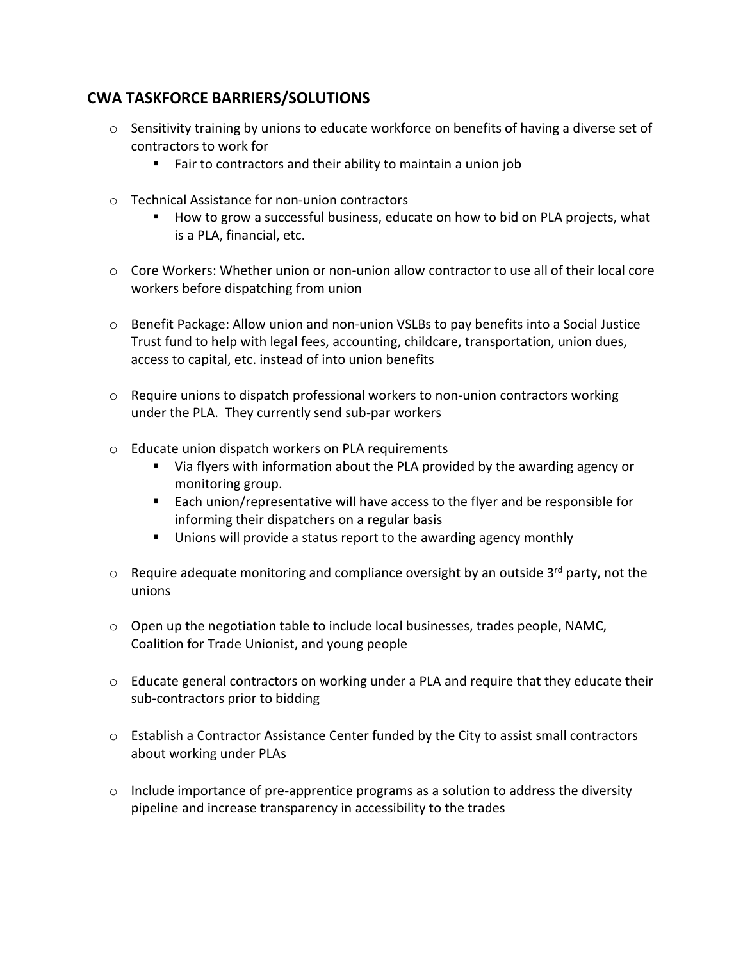## **CWA TASKFORCE BARRIERS/SOLUTIONS**

- $\circ$  Sensitivity training by unions to educate workforce on benefits of having a diverse set of contractors to work for
	- Fair to contractors and their ability to maintain a union job
- o Technical Assistance for non-union contractors
	- How to grow a successful business, educate on how to bid on PLA projects, what is a PLA, financial, etc.
- $\circ$  Core Workers: Whether union or non-union allow contractor to use all of their local core workers before dispatching from union
- $\circ$  Benefit Package: Allow union and non-union VSLBs to pay benefits into a Social Justice Trust fund to help with legal fees, accounting, childcare, transportation, union dues, access to capital, etc. instead of into union benefits
- $\circ$  Require unions to dispatch professional workers to non-union contractors working under the PLA. They currently send sub-par workers
- o Educate union dispatch workers on PLA requirements
	- Via flyers with information about the PLA provided by the awarding agency or monitoring group.
	- Each union/representative will have access to the flyer and be responsible for informing their dispatchers on a regular basis
	- **Unions will provide a status report to the awarding agency monthly**
- $\circ$  Require adequate monitoring and compliance oversight by an outside 3<sup>rd</sup> party, not the unions
- $\circ$  Open up the negotiation table to include local businesses, trades people, NAMC, Coalition for Trade Unionist, and young people
- o Educate general contractors on working under a PLA and require that they educate their sub-contractors prior to bidding
- $\circ$  Establish a Contractor Assistance Center funded by the City to assist small contractors about working under PLAs
- $\circ$  Include importance of pre-apprentice programs as a solution to address the diversity pipeline and increase transparency in accessibility to the trades